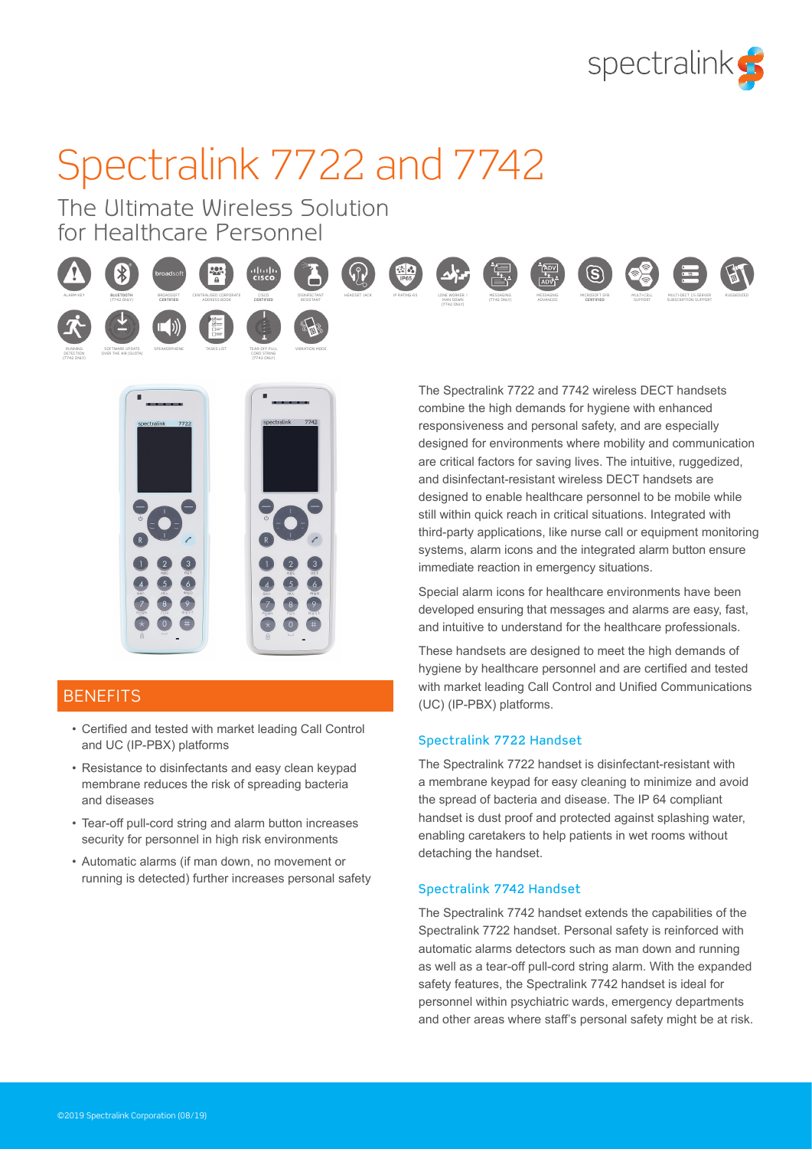

# Spectralink 7722 and 7742

The Ultimate Wireless Solution for Healthcare Personnel



RUNNING DETECTION (7742 ONLY)





SOFTWARE UPDATE OVER THE AIR (SUOTA) SPEAKERPHONE TASKS LIST



TEAR-OFF PULL CORD STRING







MESSAGING ADVANCED

MESSAGING (7742 ONLY)







## **BENEFITS**

- Certified and tested with market leading Call Control and UC (IP-PBX) platforms
- Resistance to disinfectants and easy clean keypad membrane reduces the risk of spreading bacteria and diseases
- Tear-off pull-cord string and alarm button increases security for personnel in high risk environments
- Automatic alarms (if man down, no movement or running is detected) further increases personal safety

The Spectralink 7722 and 7742 wireless DECT handsets combine the high demands for hygiene with enhanced responsiveness and personal safety, and are especially designed for environments where mobility and communication are critical factors for saving lives. The intuitive, ruggedized, and disinfectant-resistant wireless DECT handsets are designed to enable healthcare personnel to be mobile while still within quick reach in critical situations. Integrated with third-party applications, like nurse call or equipment monitoring systems, alarm icons and the integrated alarm button ensure immediate reaction in emergency situations.

Special alarm icons for healthcare environments have been developed ensuring that messages and alarms are easy, fast, and intuitive to understand for the healthcare professionals.

These handsets are designed to meet the high demands of hygiene by healthcare personnel and are certified and tested with market leading Call Control and Unified Communications (UC) (IP-PBX) platforms.

## Spectralink 7722 Handset

The Spectralink 7722 handset is disinfectant-resistant with a membrane keypad for easy cleaning to minimize and avoid the spread of bacteria and disease. The IP 64 compliant handset is dust proof and protected against splashing water, enabling caretakers to help patients in wet rooms without detaching the handset.

## Spectralink 7742 Handset

The Spectralink 7742 handset extends the capabilities of the Spectralink 7722 handset. Personal safety is reinforced with automatic alarms detectors such as man down and running as well as a tear-off pull-cord string alarm. With the expanded safety features, the Spectralink 7742 handset is ideal for personnel within psychiatric wards, emergency departments and other areas where staff's personal safety might be at risk.